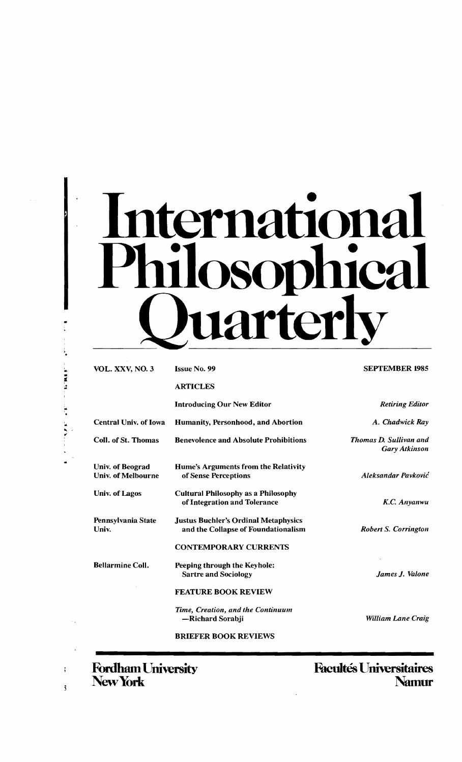# ternationa **Phica** uarterl

| <b>VOL. XXV, NO. 3</b>                               | <b>Issue No. 99</b>                                                                | <b>SEPTEMBER 1985</b>                                 |
|------------------------------------------------------|------------------------------------------------------------------------------------|-------------------------------------------------------|
|                                                      | <b>ARTICLES</b>                                                                    |                                                       |
|                                                      | <b>Introducing Our New Editor</b>                                                  | <b>Retiring Editor</b>                                |
| <b>Central Univ. of Iowa</b>                         | <b>Humanity, Personhood, and Abortion</b>                                          | A. Chadwick Ray                                       |
| Coll. of St. Thomas                                  | <b>Benevolence and Absolute Prohibitions</b>                                       | <b>Thomas D. Sullivan and</b><br><b>Gary Atkinson</b> |
| <b>Univ.</b> of Beograd<br><b>Univ. of Melbourne</b> | Hume's Arguments from the Relativity<br>of Sense Perceptions                       | Aleksandar Pavković                                   |
| Univ. of Lagos                                       | <b>Cultural Philosophy as a Philosophy</b><br>of Integration and Tolerance         | K.C. Anyanwu                                          |
| Pennsylvania State<br>Univ.                          | <b>Justus Buchler's Ordinal Metaphysics</b><br>and the Collapse of Foundationalism | <b>Robert S. Corrington</b>                           |
|                                                      | <b>CONTEMPORARY CURRENTS</b>                                                       |                                                       |
| <b>Bellarmine Coll.</b>                              | Peeping through the Keyhole:<br><b>Sartre and Sociology</b>                        | James J. Valone                                       |
|                                                      | <b>FEATURE BOOK REVIEW</b>                                                         |                                                       |
|                                                      | Time, Creation, and the Continuum<br>-Richard Sorabji                              | William Lane Craig                                    |
|                                                      | <b>BRIEFER BOOK REVIEWS</b>                                                        |                                                       |
|                                                      |                                                                                    |                                                       |

New York

..

'.

 $\ddot{1}$ 

 $\mathbf{3}$ 

**Fordham University Facultés Universitaires<br>
New York Mamur**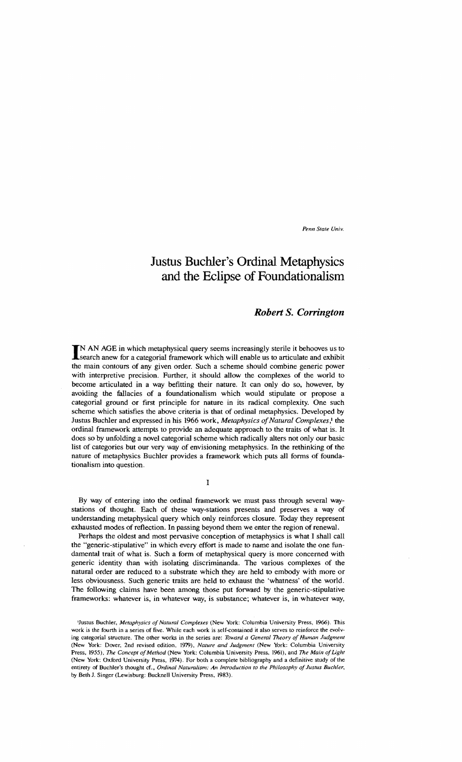*Penn State Univ.* 

# **Justus Buchler's Ordinal Metaphysics and the Eclipse of Foundationalism**

### *Robert* **S.** *Corrington*

IN AN AGE in which metaphysical query seems increasingly sterile it behooves us to search anew for a categorial framework which will enable us to articulate and exhibit the main contours of any given order. Such a scheme should combine generic power with interpretive precision. Further, it should allow the complexes of the world to become articulated in a way befitting their nature. It can only do so, however, by avoiding the fallacies of a foundationalism which would stipulate or propose a categorial ground or first principle for nature in its radical complexity. One such scheme which satisfies the above criteria is that of ordinal metaphysics. Developed by Justus Buchler and expressed in his 1966 work, *Metaphysics of Natural Complexes*,<sup>1</sup> the ordinal framework attempts to provide an adequate approach to the traits of what is. It does so by unfolding a novel categorial scheme which radically alters not only our basic list of categories but our very way of envisioning metaphysics. In the rethinking of the nature of metaphysics Buchler provides a framework which puts all forms of foundationalism into question.

I

By way of entering into the ordinal framework we must pass through several waystations of thought. Each of these way-stations presents and preserves a way of understanding metaphysical query which only reinforces closure. Today they represent exhausted modes of reflection. In passing beyond them we enter the region of renewal.

Perhaps the oldest and most pervasive conception of metaphysics is what I shall call the "generic-stipulative" in which every effort is made to name and isolate the one fundamental trait of what is. Such a form of metaphysical query is more concerned with generic identity than with isolating discriminanda. The various complexes of the natural order are reduced to a substrate which they are held to embody with more or less obviousness. Such generic traits are held to exhaust the 'whatness' of the world. The following claims have been among those put forward by the generic-stipulative frameworks: whatever is, in whatever way, is substance; whatever is, in whatever way,

<sup>&</sup>lt;sup>1</sup>Justus Buchler, *Metaphysics of Natural Complexes* (New York: Columbia University Press, 1966). This work is the fourth in a series of five. While each work is self-contained it also serves to reinforce the evolving categoria1 structure. The other works in the series are: *Toward a General Theory of Human judgment*  (New York: Dover. 2nd revised edition, 1979), *Nature and Judgment* (New York: Columbia University Press, 1955), *The Concept of Method* (New York: Columbia University Press, 1961), and *The Main of Light* (New York: Oxford University Press, 1974). For both a complete bibliography and a definitive study of the entirety of Buchler's thought cf., Ordinal Naturalism: An Introduction to the Philosophy of Justus Buchler, by Beth 1. Singer (Lewisburg: Bucknell University Press, 1983).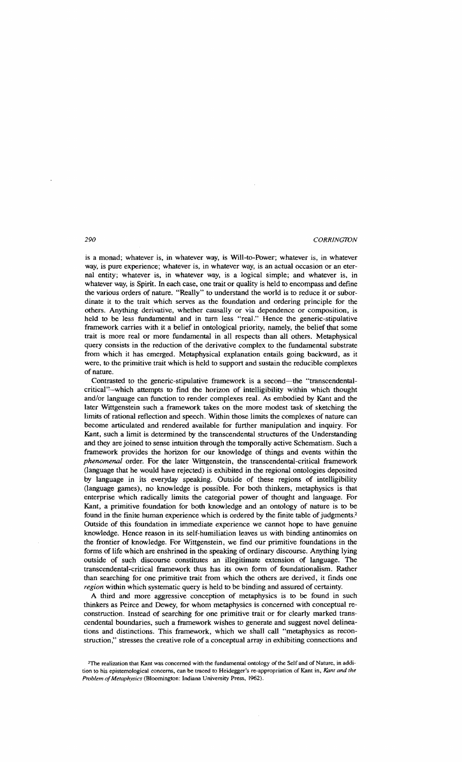is a monad; whatever is, in whatever way, is Will-to-Power; whatever is, in whatever way, is pure experience; whatever is, in whatever way, is an actual occasion or an eternal entity; whatever is, in whatever way, is a logical simple; and whatever is, in whatever way, is Spirit. In each case, one trait or quality is held to encompass and define the various orders of nature. "Really" to understand the world is to reduce it or subordinate it to the trait which serves as the foundation and ordering principle for the others. Anything derivative, whether causally or via dependence or composition, is held to be less fundamental and in turn less "real." Hence the generic-stipulative framework carries with it a belief in ontological priority, namely, the belief that some trait is more real or more fundamental in all respects than all others. Metaphysical query consists in the reduction of the derivative complex to the fundamental substrate from which it has emerged. Metaphysical explanation entails going backward, as it were, to the primitive trait which is held to support and sustain the reducible complexes of nature.

Contrasted to the generic-stipulative framework is a second-the "transcendentalcritical"-which attempts to find the horizon of intelligibility within which thought and/or language can function to render complexes real. As embodied by Kant and the later Wittgenstein such a framework takes on the more modest task of sketching the limits of rational reflection and speech. Within those limits the complexes of nature can become articulated and rendered available for further manipUlation and inquiry. For Kant, such a limit is determined by the transcendental structures of the Understanding and they are joined to sense intuition through the temporally active Schematism. Such a framework provides the horizon for our knowledge of things and events within the *phenomenal* order. For the later Wittgenstein, the transcendental-critical framework (language that he would have rejected) is exhibited in the regional ontologies deposited by language in its everyday speaking. Outside of these regions of intelligibility (language games), no knowledge is possible. For both thinkers, metaphysics is that enterprise which radically limits the categorial power of thought and language. For Kant, a primitive foundation for both knowledge and an ontology of nature is to be found in the finite human experience which is ordered by the finite table of judgments.<sup>2</sup> Outside of this foundation in immediate experience we cannot hope to have genuine knowledge. Hence reason in its self-humiliation leaves us with binding antinomies on the frontier of knowledge. For Wittgenstein, we find our primitive foundations in the forms of life which are enshrined in the speaking of ordinary discourse. Anything lying outside of such discourse constitutes an illegitimate extension of language. The transcendental-critical framework thus has its own form of foundationalism. Rather than searching for one primitive trait from which the others are derived, it finds one *region* within which systematic query is held to be binding and assured of certainty.

A third and more aggressive conception of metaphysics is to be found in such thinkers as Peirce and Dewey, for whom metaphysics is concerned with conceptual reconstruction. Instead of searching for one primitive trait or for clearly marked transcendental boundaries, such a framework wishes to generate and suggest novel delineations and distinctions. This framework, which we shall call "metaphysics as reconstruction," stresses the creative role of a conceptual array in exhibiting connections and

<sup>2</sup>The realization that Kant was concerned with the fundamental ontology ofthe Self and of Nature, in addition to his epistemological concerns, can be traced to Heidegger's re-appropriation of Kant in, *Kam and the*  Problem of Metaphysics (Bloomington: Indiana University Press, 1962).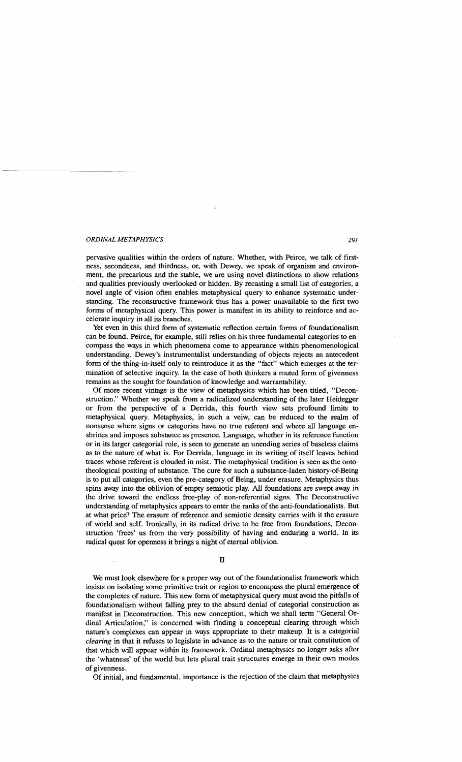pervasive qualities within the orders of nature. Whether, with Peirce, we talk of firstness, secondness, and thirdness, or, with Dewey, we speak of organism and environment, the precarious and the stable, we are using novel distinctions to show relations and qualities previously overlooked or hidden. By recasting a small list of categories, a novel angle of vision often enables metaphysical query to enhance systematic understanding. The reconstructive framework thus has a power unavailable to the first two forms of metaphysical query. This power is manifest in its ability to reinforce and accelerate inquiry in all its branches.

Yet even in this third form of systematic reflection certain forms of foundationalism can be found. Peirce, for example, still relies on his three fundamental categories to encompass the ways in which phenomena corne to appearance within phenomenological understanding. Dewey's instrumentalist understanding of objects rejects an antecedent form of the thing-in-itself only to reintroduce it as the "fact" which emerges at the termination of selective inquiry. In the case of both thinkers a muted form of givenness remains as the sought for foundation of knowledge and warrantability.

Of more recent vintage is the view of metaphysics which has been titled, "Deconstruction." Whether we speak from a radicalized understanding of the later Heidegger or from the perspective of a Derrida, this fourth view sets profound limits to metaphysical query. Metaphysics, in such a veiw, can be reduced to the realm of nonsense where signs or categories have no true referent and where all language enshrines and imposes substance as presence. Language, whether in its reference function or in its larger categorial role, is seen to generate an unending series of baseless claims as to the nature of what is. For Derrida, language in its writing of itself leaves behind traces whose referent is clouded in mist. The metaphysical tradition is seen as the ontotheological positing of substance. The cure for such a substance-laden history-of-Being is to put all categories, even the pre-category of Being, under erasure. Metaphysics thus spins away into the oblivion of empty semiotic play. All foundations are swept away in the drive toward the endless free-play of non-referential signs. The Deconstructive understanding of metaphysics appears to enter the ranks of the anti-foundationalists. But at what price? The erasure of reference and semiotic density carries with it the erasure of world and self. Ironically, in its radical drive to be free from foundations, Deconstruction 'frees' us from the very possibility of having and enduring a world. In its radical quest for openness it brings a night of eternal oblivion.

n

We must look elsewhere for a proper way out of the foundationalist framework which insists on isolating some primitive trait or region to encompass the plural emergence of the complexes of nature. This new form of metaphysical query must avoid the pitfalls of foundationalism without falling prey to the absurd denial of categorial construction as manifest in Deconstruction. This new conception, which we shall term "GeneraIOrdinal Articulation," is concerned with finding a conceptual clearing through which nature's complexes can appear in ways appropriate to their makeup. It is a categorial *clearing* in that it refuses to legislate in advance as to the nature or trait constitution of that which will appear within its framework. Ordinal metaphysics no longer asks after the 'whatness' of the world but lets plural trait structures emerge in their own modes of givenness.

Of initial, and fundamental, importance is the rejection of the claim that metaphysics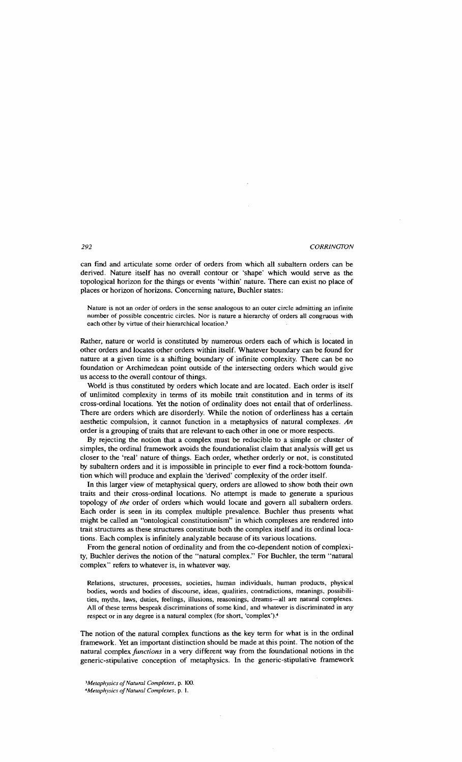can find and articulate some order of orders from which all subaltern orders can be derived. Nature itself has no overall contour or 'shape' which would serve as the topological horizon for the things or events 'within' nature. There can exist no place of places or horizon of horizons. Concerning nature, Buchler states:

Nature is not an order of orders in the sense analogous to an outer circle admitting an infinite number of possible concentric circles. Nor is nature a hierarchy of orders all congruous with each other by virtue of their hierarchical location.<sup>3</sup>

Rather, nature or world is constituted by numerous orders each of which is located in other orders and locates other orders within itself. Whatever boundary can be found for nature at a given time is a shifting boundary of infinite complexity. There can be no foundation or Archimedean point outside of the intersecting orders which would give us access to the overall contour of things.

World is thus constituted by orders which locate and are located. Each order is itself of unlimited complexity in terms of its mobile trait constitution and in terms of its cross-ordinal locations. Yet the notion of ordinality does not entail that of orderliness. There are orders which are disorderly. While the notion of orderliness has a certain aesthetic compulsion, it cannot function in a metaphysics of natural complexes. *An*  order is a grouping of traits that are relevant to each other in one or more respects.

By rejecting the notion that a complex must be reducible to a simple or cluster of simples, the ordinal framework avoids the foundationalist claim that analysis will get us closer to the 'real' nature of things. Each order, whether orderly or not, is constituted by subaltern orders and it is impossible in principle to ever find a rock-bottom foundation which will produce and explain the 'derived' complexity of the order itself.

In this larger view of metaphysical query, orders are allowed to show both their own traits and their cross-ordinal locations. No attempt is made to generate a spurious topology of *the* order of orders which would locate and govern all subaltern orders. Each order is seen in its complex multiple prevalence. Buchler thus presents what might be called an "ontological constitutionism" in which complexes are rendered into trait structures as these structures constitute both the complex itself and its ordinallocations. Each complex is infinitely analyzable because of its various locations.

From the general notion of ordinality and from the co-dependent notion of complexity, Buchler derives the notion of the "natural complex." For Buchler, the term "natural complex" refers to whatever is, in whatever way.

Relations, structures, processes, societies, human individuals, human products, physical bodies, words and bodies of discourse, ideas, qualities, contradictions, meanings, possibilities, myths, laws, duties, feelings, illusions, reasonings, dreams-all are natural complexes. All of these terms bespeak discriminations of some kind, and whatever is discriminated in any respect or in any degree is a natural complex (for short, 'complex').4

The notion of the natural complex functions as the key term for what is in the ordinal framework. Yet an important distinction should be made at this point. The notion of the natural complex *functions* in a very different way from the foundational notions in the generic-stipulative conception of metaphysics. In the generic-stipulative framework

*<sup>&#</sup>x27;Metaphysics ofNatural Complexes,* p. 100.

*<sup>&#</sup>x27;Metaphysics ofNatuml Complexes,* p. I.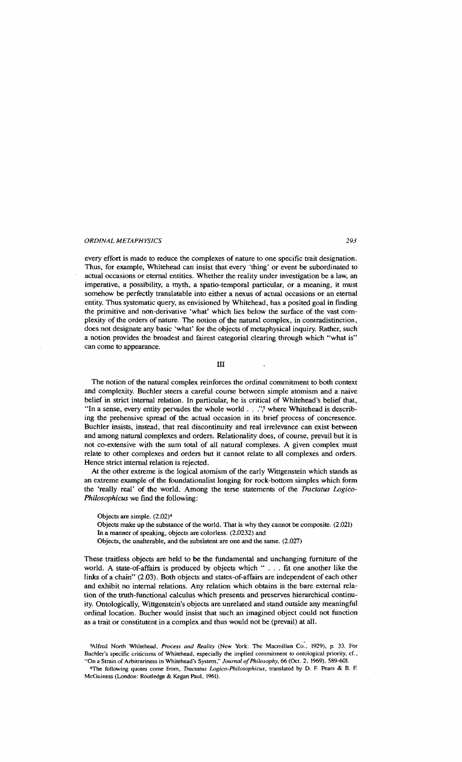every effort is made to reduce the complexes of nature to one specific trait designation. Thus, for example, Whitehead can insist that every 'thing' or event be subordinated to actual occasions or eternal entities. Whether the reality under investigation be a law, an imperative, a possibility, a myth, a spatio-temporal particular, or a meaning, it must somehow be perfectly translatable into either a nexus of actual occasions or an eternal entity. Thus systematic query, as envisioned by Whitehead, has a posited goal in finding the primitive and non-derivative 'what' which lies below the surface of the vast complexity of the orders of nature. The notion of the natural complex, in contradistinction, does not designate any basic 'what' for the objects of metaphysical inquiry. Rather, such a notion provides the broadest and fairest categorial clearing through which "what is" can come to appearance.

ill

The notion of the natural complex reinforces the ordinal commitment to both context and complexity. Buchler steers a careful course between simple atomism and a naive belief in strict internal relation. In particular, he is critical of Whitehead's belief that, "In a sense, every entity pervades the whole world . . .",<sup>5</sup> where Whitehead is describing the prehensive spread of the actual occasion in its brief process of concresence. Buchler insists, instead, that real discontinuity and real irrelevance can exist between and among natural complexes and orders. Relationality does, of course, prevail but it is not co-extensive with the sum total of all natural complexes. A given complex must relate to other complexes and orders but it cannot relate to all complexes and orders. Hence strict internal relation is rejected.

At the other extreme is the logical atomism of the early Wittgenstein which stands as an extreme example of the foundationalist longing for rock-bottom simples which form the 'really real' of the world. Among the terse statements of the *Tractatus Logico-Philosophicus* we find the following:

Objects are simple. (2.02)6 Objects make up the substance of the world. That is why they cannot be composite. (2.021) In a manner of speaking, objects are colorless. (2.0232) and Objects, the unalterable, and the subsistent are one and the same. (2.027)

These traitless objects are held to be the fundamental and unchanging furniture of the world. A state-of-affairs is produced by objects which " . . . fit one another like the links of a chain" (2.03). Both objects and states-of-affairs are independent of each other and exhibit no internal relations. Any relation which obtains is the bare external relation of the truth-functional calculus which presents and preserves hierarchical continuity. Ontologically, Wittgenstein's objects are unrelated and stand outside any meaningful ordinal location. Bucher would insist that such an imagined object could not function as a trait or constitutent in a complex and thus would not be (prevail) at all.

SAlfred North Whitehead, *Process and Reality* (New York: The Macmillan Co., 1929), p. 33. For Buchler's specific criticisms of Whitehead, especially the implied commitment to ontological priority, cf., "On a Strain of Arbitrariness in Whitehead's System," *Journal of Philosophy*, 66 (Oct. 2, 1969), 589-601.

"The following quotes come from, *Tracfatus Logico-Philosophicus,* translated by D. F. Pears & B. F. McGuiness (London: Routledge & Kegan Paul, 1961).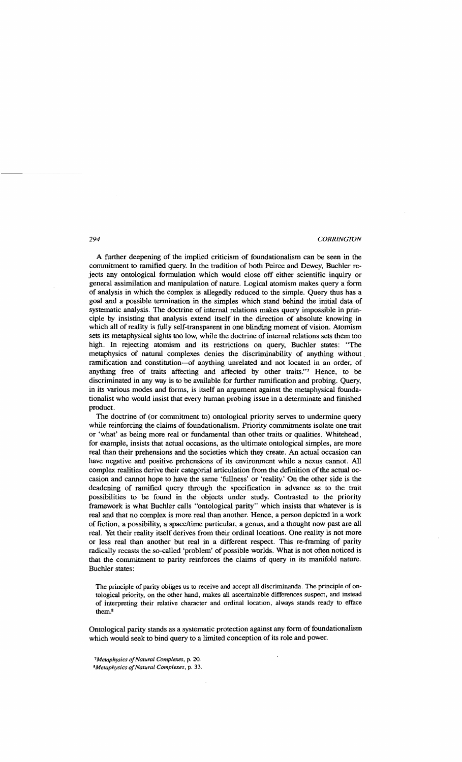A further deepening of the implied criticism of foundationalism can be seen in the commitment to ramified query. **In** the tradition of both Peirce and Dewey, Buchler rejects any ontological formulation which would close off either scientific inquiry or general assimilation and manipulation of nature. Logical atomism makes query a form of analysis in which the complex is allegedly reduced to the simple. Query thus has a goal and a possible termination in the simples which stand behind the initial data of systematic analysis. The doctrine of internal relations makes query impossible in principle by insisting that analysis extend itself in the direction of absolute knowing in which all of reality is fully self-transparent in one blinding moment of vision. Atomism sets its metaphysical sights too low, while the doctrine of internal relations sets them too high. **In** rejecting atomism and its restrictions on query, Buchler states: "The metaphysics of natural complexes denies the discriminability of anything without. ramification and constitution-of anything unrelated and not located in an order, of anything free of traits affecting and affected by other traits."7 Hence, to be discriminated in any way is to be available for further ramification and probing. Query, in its various modes and forms, is itself an argument against the metaphysical foundationalist who would insist that every human probing issue in a determinate and finished product.

The doctrine of (or commitment to) ontological priority serves to undermine query while reinforcing the claims of foundationalism. Priority commitments isolate one trait or 'what' as being more real or fundamental than other traits or qualities. Whitehead, for example, insists that actual occasions, as the ultimate ontological simples, are more real than their prehensions and the societies which they create. An actual occasion can have negative and positive prehensions of its environment while a nexus cannot. All complex realities derive their categorial articulation from the definition of the actual occasion and cannot hope to have the same 'fullness' or 'reality.' On the other side is the deadening of ramified query through the specification in advance as to the trait possibilities to be found in the objects under study. Contrasted to the priority framework is what Buchler calls "ontological parity" which insists that whatever is is real and that no complex is more real than another. Hence, a person depicted in a work of fiction, a possibility, a space/time particular, a genus, and a thought now past are all real. Yet their reality itself derives from their ordinal locations. One reality is not more or less real than another but real in a different respect. This re-framing of parity radically recasts the so-called 'problem' of possible worlds. What is not often noticed is that the commitment to parity reinforces the claims of query in its manifold nature. Buchler states:

The principle of parity obliges us to receive and accept all discriminanda. The principle of ontological priority. on the other hand, makes all ascertainable differences suspect, and instead of interpreting their relative character and ordinal location, always stands ready to efface them.8

Ontological parity stands as a systematic protection against any form of foundationalism which would seek to bind query to a limited conception of its role and power.

*1Metaphysics ofNatural Complexes,* p. 20. *8Metaphysics ofNatural Complexes,* p. 33.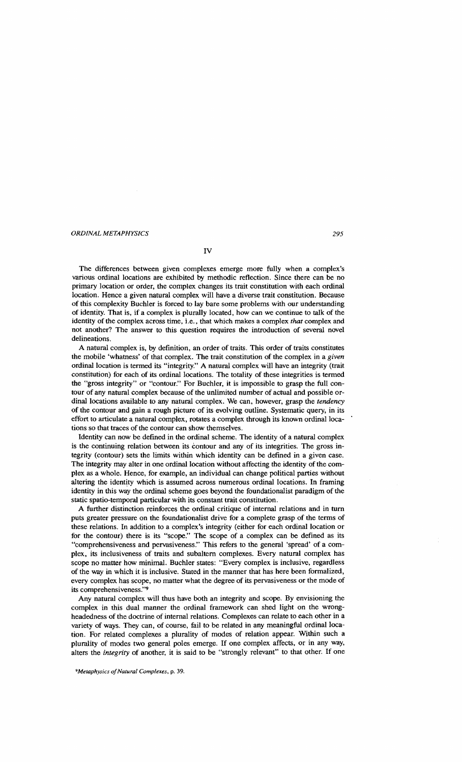The differences between given complexes emerge more fully when a complex's various ordinal locations are exhibited by methodic reflection. Since there can be no primary location or order, the complex changes its trait constitution with each ordinal

IV

location. Hence a given natural complex will have a diverse trait constitution. Because of this complexity Buchler is forced to lay bare some problems with our understanding of identity. That is, if a complex is plurally located, how can we continue to talk of the identity of the complex across time, i.e., that which makes a complex *that* complex and not another? The answer to this question requires the introduction of several novel delineations.

A natural complex is, by definition, an order of traits. This order of traits constitutes the mobile 'whatness' of that complex. The trait constitution of the complex in a *given*  ordinal location is termed its "integrity." A natural complex will have an integrity (trait constitution) for each of its ordinal locations. The totality of these integrities is termed the "gross integrity" or "contour." For Buchler, it is impossible to grasp the full contour of any natural complex because of the unlimited number of actual and possible ordinal locations available to any natural complex. We can, however, grasp the *tendency* of the contour and gain a rough picture of its evolving outline. Systematic query, in its effort to articulate a natural complex, rotates a complex through its known ordinal locations so that traces of the contour can show themselves.

Identity can now be defined in the ordinal scheme. The identity of a natural complex is the continuing relation between its contour and any of its integrities. The gross integrity (contour) sets the limits within which identity can be defined in a given case. The integrity may alter in one ordinal location without affecting the identity of the complex as a whole. Hence, for example, an individual can change political parties without altering the identity which is assumed across numerous ordinal locations. In framing identity in this way the ordinal scheme goes beyond the foundationalist paradigm of the static spatio-temporal particular with its constant trait constitution.

A further distinction reinforces the ordinal critique of internal relations and in tum puts greater pressure on the foundationalist drive for a complete grasp of the tenns of these relations. In addition to a complex's integrity (either for each ordinal location or for the contour) there is its "scope." The scope of a complex can be defined as its "comprehensiveness and pervasiveness:' This refers to the general 'spread' of a complex, its inclusiveness of traits and subaltern complexes. Every natural complex has scope no matter how minimal. Buchler states: "Every complex is inclusive, regardless of the way in which it is inclusive. Stated in the manner that has here been fonnalized, every complex has scope, no matter what the degree of its pervasiveness or the mode of its comprehensiveness."9

Any natural complex will thus have both an integrity and scope. By envisioning the complex in this dual manner the ordinal framework can shed light on the wrongheadedness of the doctrine of internal relations. Complexes can relate to each other in a variety of ways. They can, of course, fail to be related in any meaningful ordinal location. For related complexes a plurality of modes of relation appear. Within such a plurality of modes two general poles emerge. If one complex affects, or in any way, alters the *integrity* of another, it is said to be "strongly relevant" to that other. If one

*'Metaphysics ofNatural Complexes,* p. 39.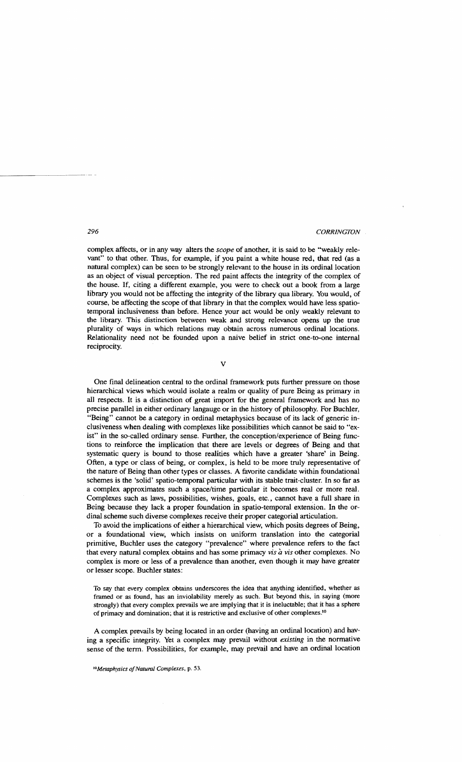complex affects, or in any way alters the *scope* of another, it is said to be "weakly relevant" to that other. Thus, for example, if you paint a white house red, that red (as a natural complex) can be seen to be strongly relevant to the house in its ordinal location as an object of visual perception. The red paint affects the integrity of the complex of the house. If, citing a different example, you were to check out a book from a large library you would not be affecting the integrity of the library qua library. You would, of course, be affecting the scope of that library in that the complex would have less spatiotemporal inclusiveness than before. Hence your act would be only weakly relevant to the library. This distinction between weak and strong relevance opens up the true plurality of ways in which relations may obtain across numerous ordinal locations. Relationality need not be founded upon a naive belief in strict one-to-one internal reciprocity.

v

One final delineation central to the ordinal framework puts further pressure on those hierarchical views which would isolate a realm or quality of pure Being as primary in all respects. It is a distinction of great import for the general framework and has no precise parallel in either ordinary langauge or in the history of philosophy. For Buchler, "Being" cannot be a category in ordinal metaphysics because of its lack of generic inclusiveness when dealing with complexes like possibilities which cannot be said to "exist" in the so-called ordinary sense. Further, the conception/experience of Being functions to reinforce the implication that there are levels or degrees of Being and that systematic query is bound to those realities which have a greater 'share' in Being. Often, a type or class of being, or complex, is held to be more truly representative of the nature of Being than other types or classes. A favorite candidate within foundational schemes is the 'solid' spatio-temporal particular with its stable trait-cluster. In so far as a complex approximates such a space/time particular it becomes real or more real. Complexes such as laws, possibilities, wishes, goals, etc., cannot have a full share in Being because they lack a proper foundation in spatio-temporal extension. In the ordinal scheme such diverse complexes receive their proper categorial articulation.

To avoid the implications of either a hierarchical view, which posits degrees of Being, or a foundational view, which insists on uniform translation into the categorial primitive, Buchler uses the category "prevalence" where prevalence refers to the fact that every natural complex obtains and has some primacy *vis*  $\dot{a}$  *vis* other complexes. No complex is more or less of a prevalence than another, even though it may have greater or lesser scope. Buchler states:

To say that every complex obtains underscores the idea that anything identified, whether as framed or as found, has an inviolability merely as such. But beyond this, in saying (more strongly) that every complex prevails we are implying that it is ineluctable; that it has a sphere of primacy and domination; that it is restrictive and exclusive of other complexes.<sup>10</sup>

A complex prevails by being located in an order (having an ordinal location) and having a specific integrity. Yet a complex may prevail without *existing* in the normative sense of the term. Possibilities, for example, may prevail and have an ordinal location

*IOMetaphysics ofNatural Complexes,* p. 53.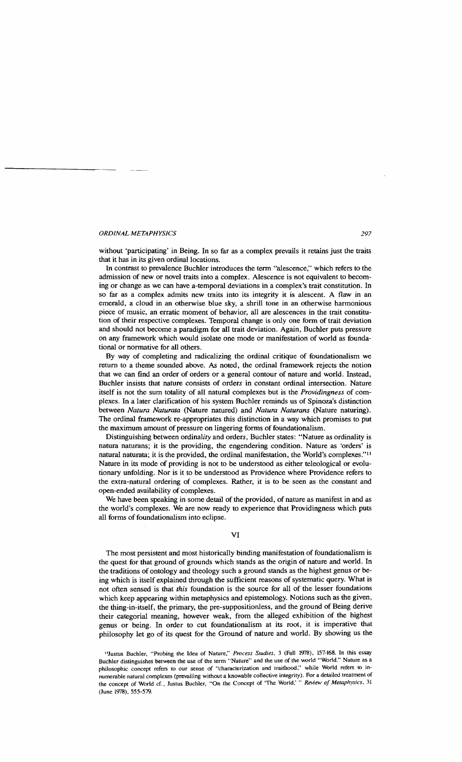without 'participating' in Being. In so far as a complex prevails it retains just the traits that it has in its given ordinal locations.

In contrast to prevalence Buchler introduces the tenn "alescence," which refers to the admission of new or novel traits into a complex. Alescence is not equivalent to becoming or change as we can have a-temporal deviations in a complex's trait constitution. In so far as a complex admits new traits into its integrity it is alescent. A flaw in an emerald, a cloud in an otherwise blue sky, a shrill tone in an otherwise hannonious piece of music, an erratic moment of behavior, all are alescences in the trait constitution of their respective complexes. Temporal change is only one fonn of trait deviation and should not become a paradigm for all trait deviation. Again, Buchler puts pressure on any framework which would isolate one mode or manifestation of world as foundational or normative for all others.

By way of completing and radicalizing the ordinal critique of foundationalism we return to a theme sounded above. As noted, the ordinal framework rejects the notion that we can find an order of orders or a general contour of nature and world. Instead, Buchler insists that nature consists of orders in constant ordinal intersection. Nature itself is not the sum totality of all natural complexes but is the *Providingness* of complexes. In a later clarification of his system Buchler reminds us of Spinoza's distinction between *Natura Naturata* (Nature natured) and *Natura Naturans* (Nature naturing). The ordinal framework re-appropriates this distinction in a way which promises to put the maximum amount of pressure on lingering fonns of foundationalism.

Distinguishing between ordinality and orders, Buchler states: "Nature as ordinality is natura naturans; it is the providing, the engendering condition. Nature as 'orders' is natural naturata; it is the provided, the ordinal manifestation, the World's complexes."I1 Nature in its mode of providing is not to be understood as either teleological or evolutionary unfolding. Nor is it to be understood as Providence where Providence refers to the extra-natural ordering of complexes. Rather, it is to be seen as the constant and open-ended availability of complexes.

We have been speaking in some detail of the provided, of nature as manifest in and as the world's complexes. We are now ready to experience that Providingness which puts all fonns of foundationalism into eclipse.

#### VI

The most persistent and most historically binding manifestation of foundationalism is the quest for that ground of grounds which stands as the origin of nature and world. In the traditions of ontology and theology such a ground stands as the highest genus or being which is itself explained through the sufficient reasons of systematic query. What is not often sensed is that *this* foundation is the source for all of the lesser foundations which keep appearing within metaphysics and epistemology. Notions such as the given, the thing-in-itself, the primary, the pre-suppositionless, and the ground of Being derive their categorial meaning, however weak, from the alleged exhibition of the highest genus or being. In order to cut foundationalism at its root, it is imperative that philosophy let go of its quest for the Ground of nature and world. By showing us the

<sup>&</sup>quot;Justus Buchler, "Probing the Idea of Nature," *Process Studies,* 3 (Fall 1978), 157-168. In this essay Buchler distinguishes between the use of the term "Nature" and the use of the world "World." Nature as a philosophic concept refers to our sense of "characterization and traithood." while World reters to innumerable natural complexes (prevailing without a knowable collective integrity). For a detailed treatment of the concept of World cf., Justus Buchler, "On the Concept of 'The World: " *Review of Metaphysics. 31*  (June 1978). 555-579.